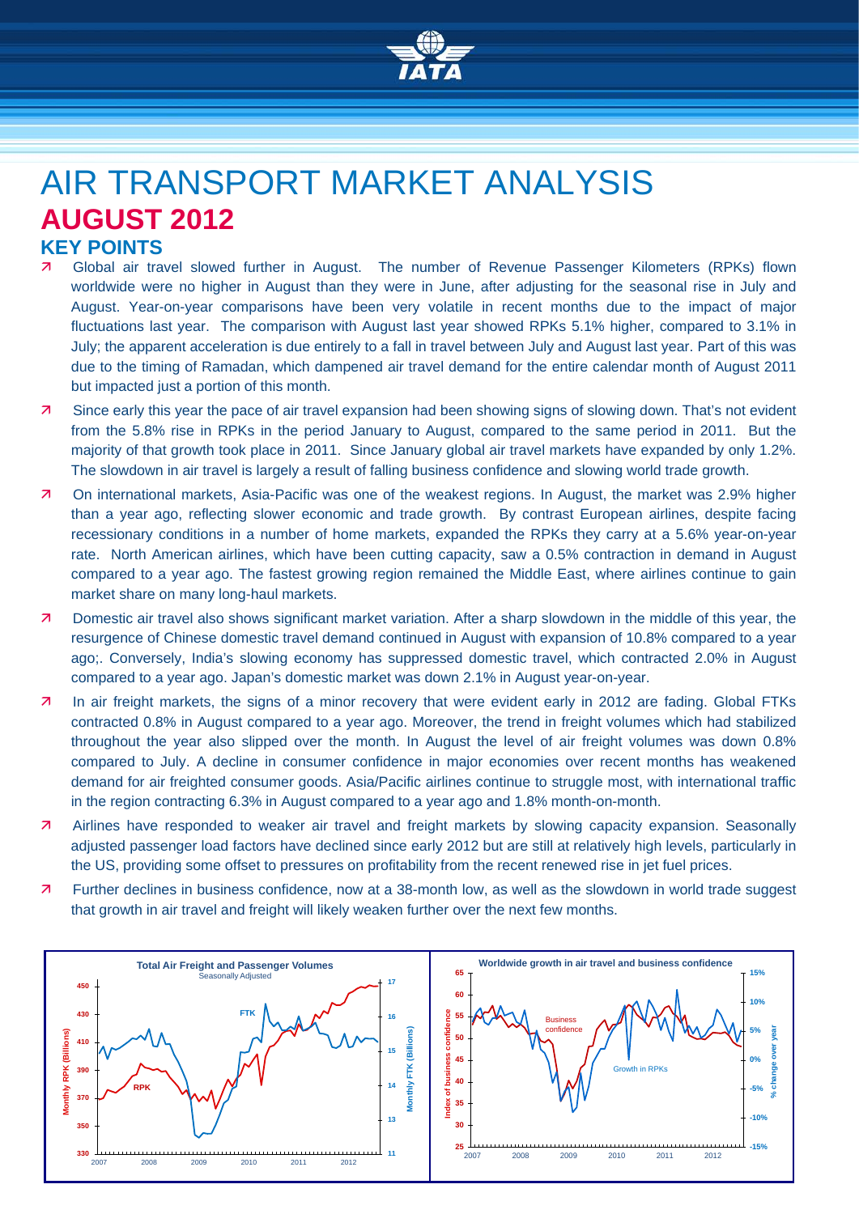

# AIR TRANSPORT MARKET ANALYSIS **AUGUST 2012**

- **KEY POINTS**<br>**<b>A** Global air tra Global air travel slowed further in August. The number of Revenue Passenger Kilometers (RPKs) flown worldwide were no higher in August than they were in June, after adjusting for the seasonal rise in July and August. Year-on-year comparisons have been very volatile in recent months due to the impact of major fluctuations last year. The comparison with August last year showed RPKs 5.1% higher, compared to 3.1% in July; the apparent acceleration is due entirely to a fall in travel between July and August last year. Part of this was due to the timing of Ramadan, which dampened air travel demand for the entire calendar month of August 2011 but impacted just a portion of this month.
- Since early this year the pace of air travel expansion had been showing signs of slowing down. That's not evident from the 5.8% rise in RPKs in the period January to August, compared to the same period in 2011. But the majority of that growth took place in 2011. Since January global air travel markets have expanded by only 1.2%. The slowdown in air travel is largely a result of falling business confidence and slowing world trade growth.
- On international markets, Asia-Pacific was one of the weakest regions. In August, the market was 2.9% higher than a year ago, reflecting slower economic and trade growth. By contrast European airlines, despite facing recessionary conditions in a number of home markets, expanded the RPKs they carry at a 5.6% year-on-year rate. North American airlines, which have been cutting capacity, saw a 0.5% contraction in demand in August compared to a year ago. The fastest growing region remained the Middle East, where airlines continue to gain market share on many long-haul markets.
- Domestic air travel also shows significant market variation. After a sharp slowdown in the middle of this year, the resurgence of Chinese domestic travel demand continued in August with expansion of 10.8% compared to a year ago;. Conversely, India's slowing economy has suppressed domestic travel, which contracted 2.0% in August compared to a year ago. Japan's domestic market was down 2.1% in August year-on-year.
- 7 In air freight markets, the signs of a minor recovery that were evident early in 2012 are fading. Global FTKs contracted 0.8% in August compared to a year ago. Moreover, the trend in freight volumes which had stabilized throughout the year also slipped over the month. In August the level of air freight volumes was down 0.8% compared to July. A decline in consumer confidence in major economies over recent months has weakened demand for air freighted consumer goods. Asia/Pacific airlines continue to struggle most, with international traffic in the region contracting 6.3% in August compared to a year ago and 1.8% month-on-month.
- Airlines have responded to weaker air travel and freight markets by slowing capacity expansion. Seasonally adjusted passenger load factors have declined since early 2012 but are still at relatively high levels, particularly in the US, providing some offset to pressures on profitability from the recent renewed rise in jet fuel prices.
- Further declines in business confidence, now at a 38-month low, as well as the slowdown in world trade suggest that growth in air travel and freight will likely weaken further over the next few months.

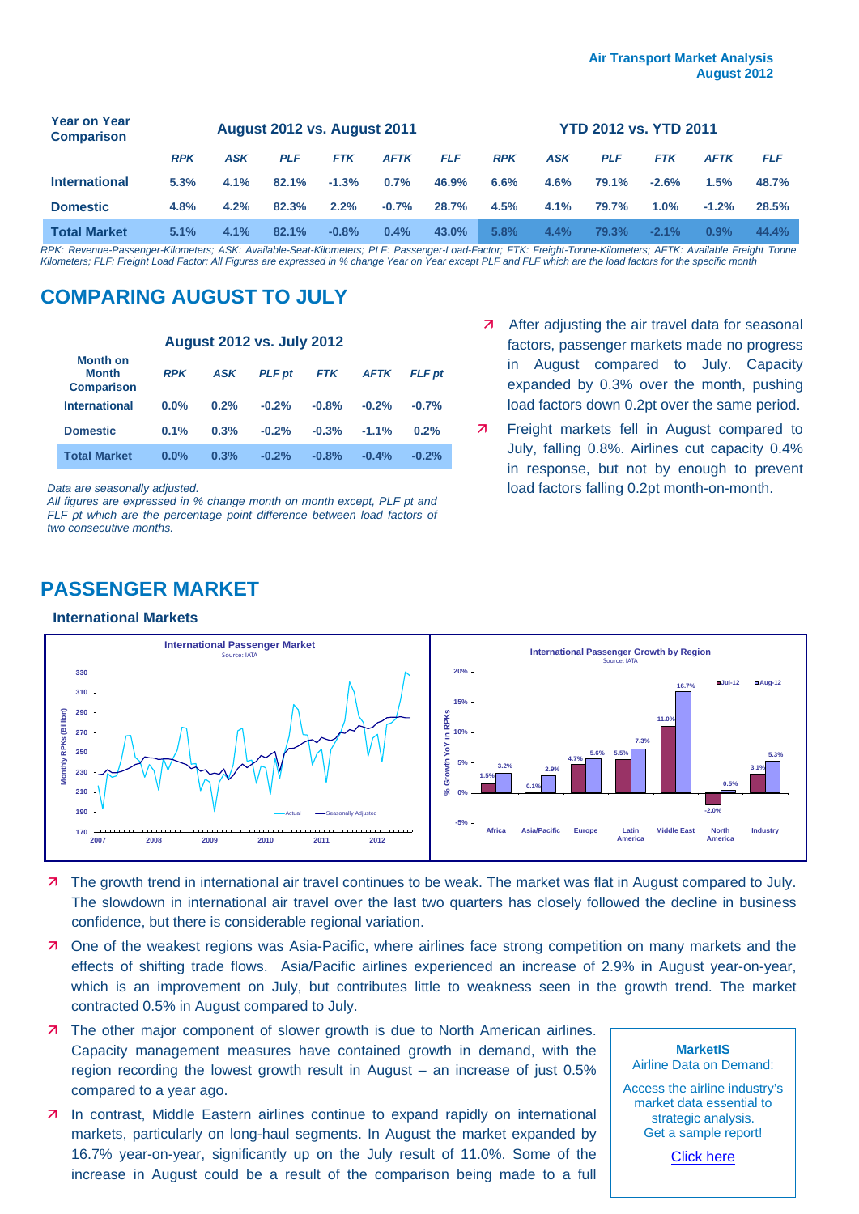| <b>Year on Year</b><br><b>Comparison</b> | <b>August 2012 vs. August 2011</b> |            |            |            |             |            | <b>YTD 2012 vs. YTD 2011</b> |            |            |            |             |            |
|------------------------------------------|------------------------------------|------------|------------|------------|-------------|------------|------------------------------|------------|------------|------------|-------------|------------|
|                                          | <b>RPK</b>                         | <b>ASK</b> | <b>PLF</b> | <b>FTK</b> | <b>AFTK</b> | <b>FLF</b> | <b>RPK</b>                   | <b>ASK</b> | <b>PLF</b> | <b>FTK</b> | <b>AFTK</b> | <b>FLF</b> |
| <b>International</b>                     | 5.3%                               | 4.1%       | 82.1%      | $-1.3%$    | 0.7%        | 46.9%      | 6.6%                         | 4.6%       | 79.1%      | $-2.6%$    | 1.5%        | 48.7%      |
| <b>Domestic</b>                          | 4.8%                               | 4.2%       | 82.3%      | 2.2%       | $-0.7%$     | 28.7%      | 4.5%                         | 4.1%       | 79.7%      | $1.0\%$    | $-1.2%$     | 28.5%      |
| <b>Total Market</b>                      | 5.1%                               | 4.1%       | 82.1%      | $-0.8%$    | 0.4%        | 43.0%      | 5.8%                         | 4.4%       | 79.3%      | $-2.1%$    | 0.9%        | 44.4%      |

*RPK: Revenue-Passenger-Kilometers; ASK: Available-Seat-Kilometers; PLF: Passenger-Load-Factor; FTK: Freight-Tonne-Kilometers; AFTK: Available Freight Tonne Kilometers; FLF: Freight Load Factor; All Figures are expressed in % change Year on Year except PLF and FLF which are the load factors for the specific month*

## **COMPARING AUGUST TO JULY**

| <b>August 2012 vs. July 2012</b>                     |            |            |               |            |             |               |  |  |  |
|------------------------------------------------------|------------|------------|---------------|------------|-------------|---------------|--|--|--|
| <b>Month on</b><br><b>Month</b><br><b>Comparison</b> | <b>RPK</b> | <b>ASK</b> | <b>PLF</b> pt | <b>FTK</b> | <b>AFTK</b> | <b>FLF</b> pt |  |  |  |
| <b>International</b>                                 | 0.0%       | 0.2%       | $-0.2%$       | $-0.8%$    | $-0.2%$     | $-0.7%$       |  |  |  |
| <b>Domestic</b>                                      | 0.1%       | 0.3%       | $-0.2%$       | $-0.3%$    | $-1.1%$     | 0.2%          |  |  |  |
| <b>Total Market</b>                                  | $0.0\%$    | 0.3%       | $-0.2%$       | $-0.8%$    | $-0.4%$     | $-0.2%$       |  |  |  |

*Data are seasonally adjusted.*

*All figures are expressed in % change month on month except, PLF pt and FLF pt which are the percentage point difference between load factors of two consecutive months.*

- $\overline{a}$  After adjusting the air travel data for seasonal factors, passenger markets made no progress in August compared to July. Capacity expanded by 0.3% over the month, pushing load factors down 0.2pt over the same period.
- **7** Freight markets fell in August compared to July, falling 0.8%. Airlines cut capacity 0.4% in response, but not by enough to prevent load factors falling 0.2pt month-on-month.



#### **International Markets**



- **7** The growth trend in international air travel continues to be weak. The market was flat in August compared to July. The slowdown in international air travel over the last two quarters has closely followed the decline in business confidence, but there is considerable regional variation.
- One of the weakest regions was Asia-Pacific, where airlines face strong competition on many markets and the effects of shifting trade flows. Asia/Pacific airlines experienced an increase of 2.9% in August year-on-year, which is an improvement on July, but contributes little to weakness seen in the growth trend. The market contracted 0.5% in August compared to July.
- **7** The other major component of slower growth is due to North American airlines. Capacity management measures have contained growth in demand, with the region recording the lowest growth result in August – an increase of just 0.5% compared to a year ago.
- In contrast, Middle Eastern airlines continue to expand rapidly on international markets, particularly on long-haul segments. In August the market expanded by 16.7% year-on-year, significantly up on the July result of 11.0%. Some of the increase in August could be a result of the comparison being made to a full

**MarketIS**  Airline Data on Demand: Access the airline industry's market data essential to strategic analysis. Get a sample report! [Click here](http://www.iata.org/ps/intelligence_statistics/Pages/marketis.aspx)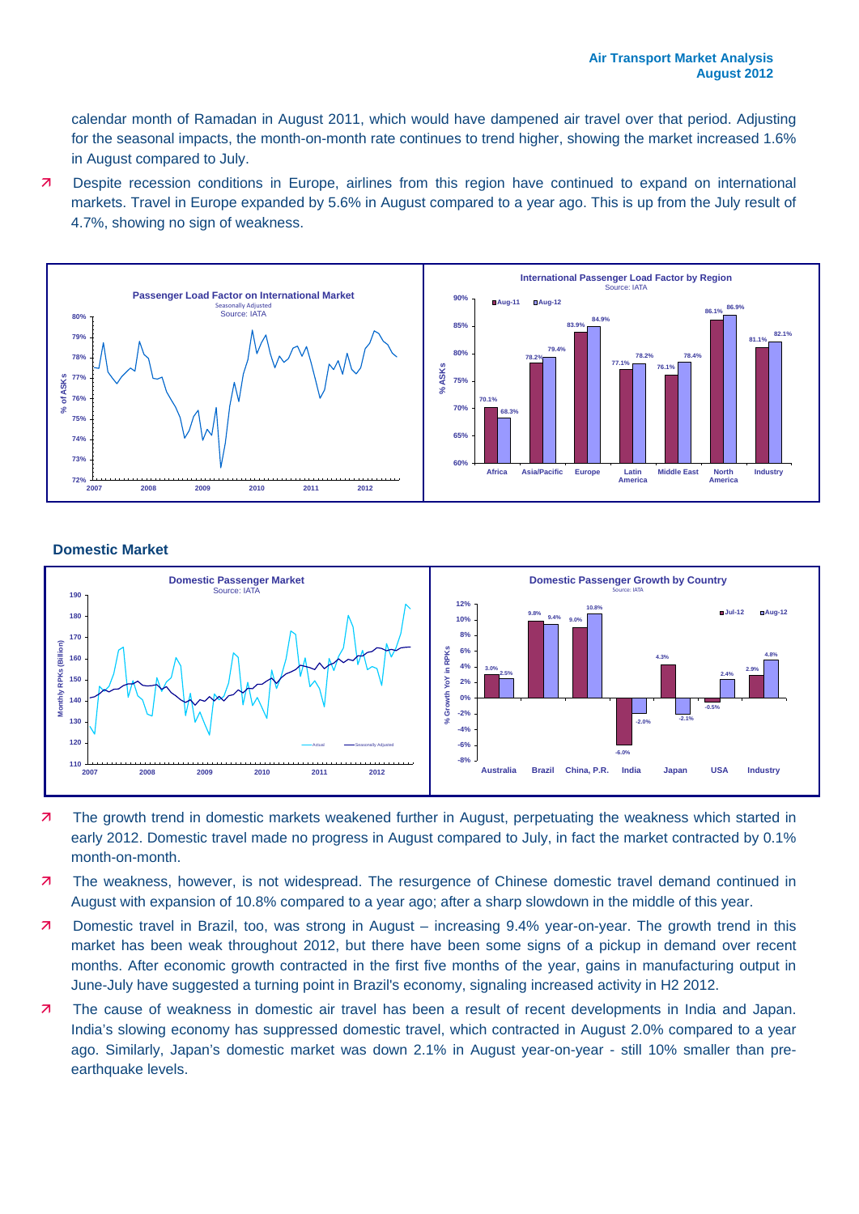calendar month of Ramadan in August 2011, which would have dampened air travel over that period. Adjusting for the seasonal impacts, the month-on-month rate continues to trend higher, showing the market increased 1.6% in August compared to July.

 Despite recession conditions in Europe, airlines from this region have continued to expand on international markets. Travel in Europe expanded by 5.6% in August compared to a year ago. This is up from the July result of 4.7%, showing no sign of weakness.



### **Domestic Market**



- The growth trend in domestic markets weakened further in August, perpetuating the weakness which started in early 2012. Domestic travel made no progress in August compared to July, in fact the market contracted by 0.1% month-on-month.
- The weakness, however, is not widespread. The resurgence of Chinese domestic travel demand continued in August with expansion of 10.8% compared to a year ago; after a sharp slowdown in the middle of this year.
- Domestic travel in Brazil, too, was strong in August increasing 9.4% year-on-year. The growth trend in this market has been weak throughout 2012, but there have been some signs of a pickup in demand over recent months. After economic growth contracted in the first five months of the year, gains in manufacturing output in June-July have suggested a turning point in Brazil's economy, signaling increased activity in H2 2012.
- The cause of weakness in domestic air travel has been a result of recent developments in India and Japan. India's slowing economy has suppressed domestic travel, which contracted in August 2.0% compared to a year ago. Similarly, Japan's domestic market was down 2.1% in August year-on-year - still 10% smaller than preearthquake levels.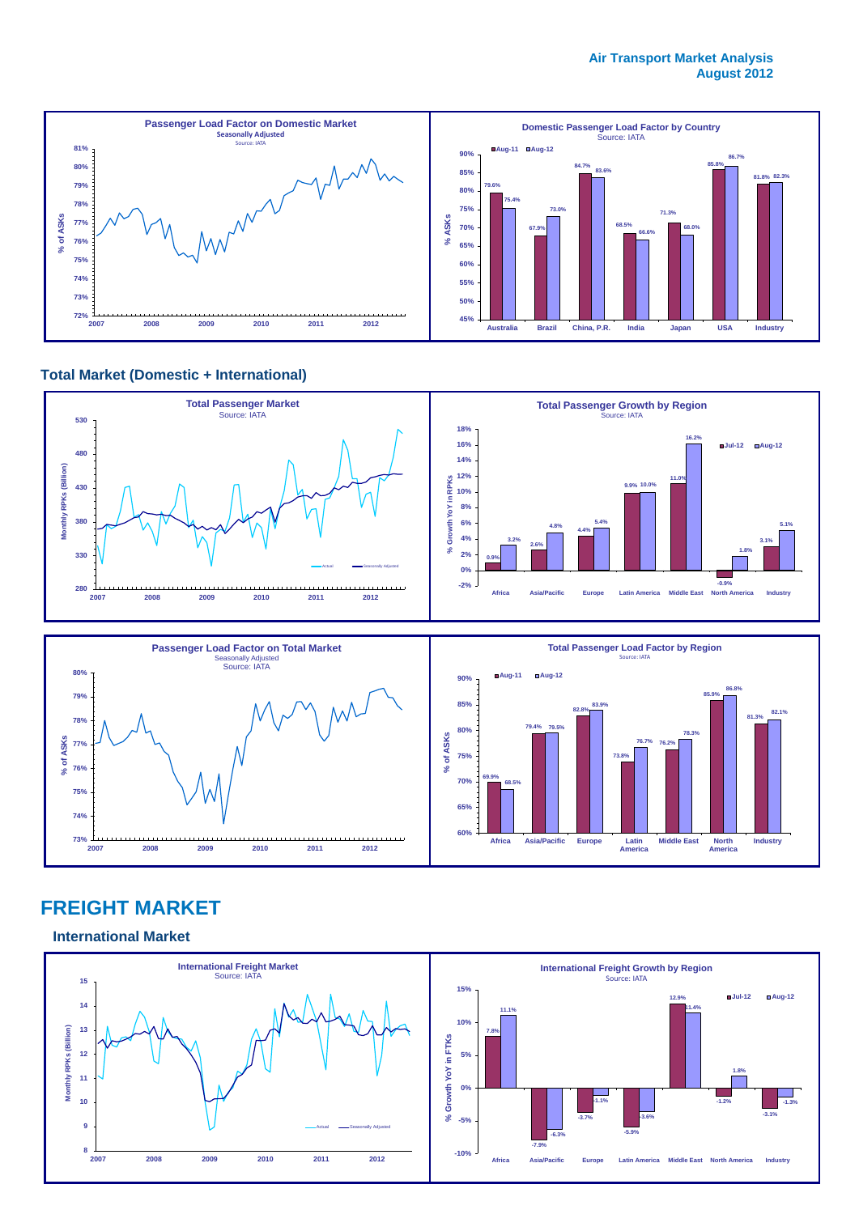

## **Total Market (Domestic + International)**





## **FREIGHT MARKET**

**International Market**

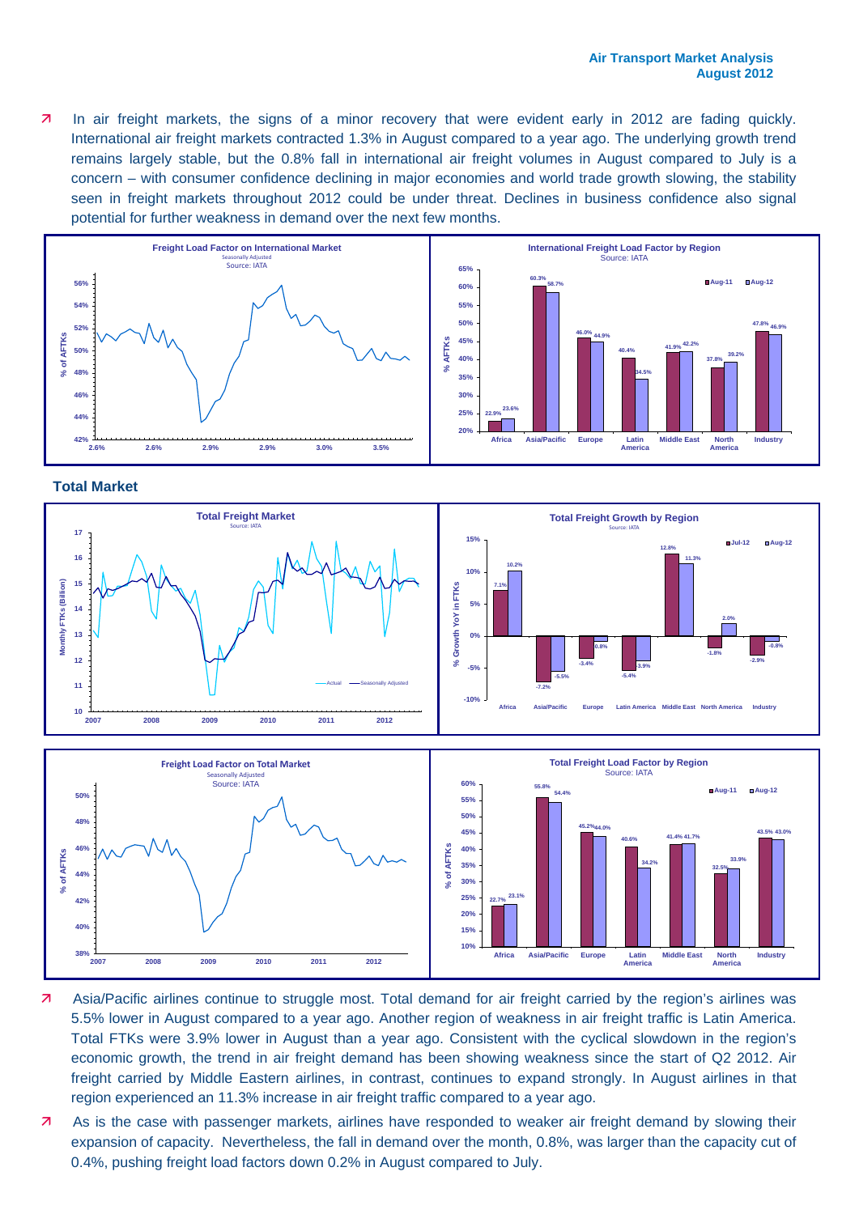**7** In air freight markets, the signs of a minor recovery that were evident early in 2012 are fading quickly. International air freight markets contracted 1.3% in August compared to a year ago. The underlying growth trend remains largely stable, but the 0.8% fall in international air freight volumes in August compared to July is a concern – with consumer confidence declining in major economies and world trade growth slowing, the stability seen in freight markets throughout 2012 could be under threat. Declines in business confidence also signal potential for further weakness in demand over the next few months.



#### **Total Market**





- Asia/Pacific airlines continue to struggle most. Total demand for air freight carried by the region's airlines was 5.5% lower in August compared to a year ago. Another region of weakness in air freight traffic is Latin America. Total FTKs were 3.9% lower in August than a year ago. Consistent with the cyclical slowdown in the region's economic growth, the trend in air freight demand has been showing weakness since the start of Q2 2012. Air freight carried by Middle Eastern airlines, in contrast, continues to expand strongly. In August airlines in that region experienced an 11.3% increase in air freight traffic compared to a year ago.
- As is the case with passenger markets, airlines have responded to weaker air freight demand by slowing their expansion of capacity. Nevertheless, the fall in demand over the month, 0.8%, was larger than the capacity cut of 0.4%, pushing freight load factors down 0.2% in August compared to July.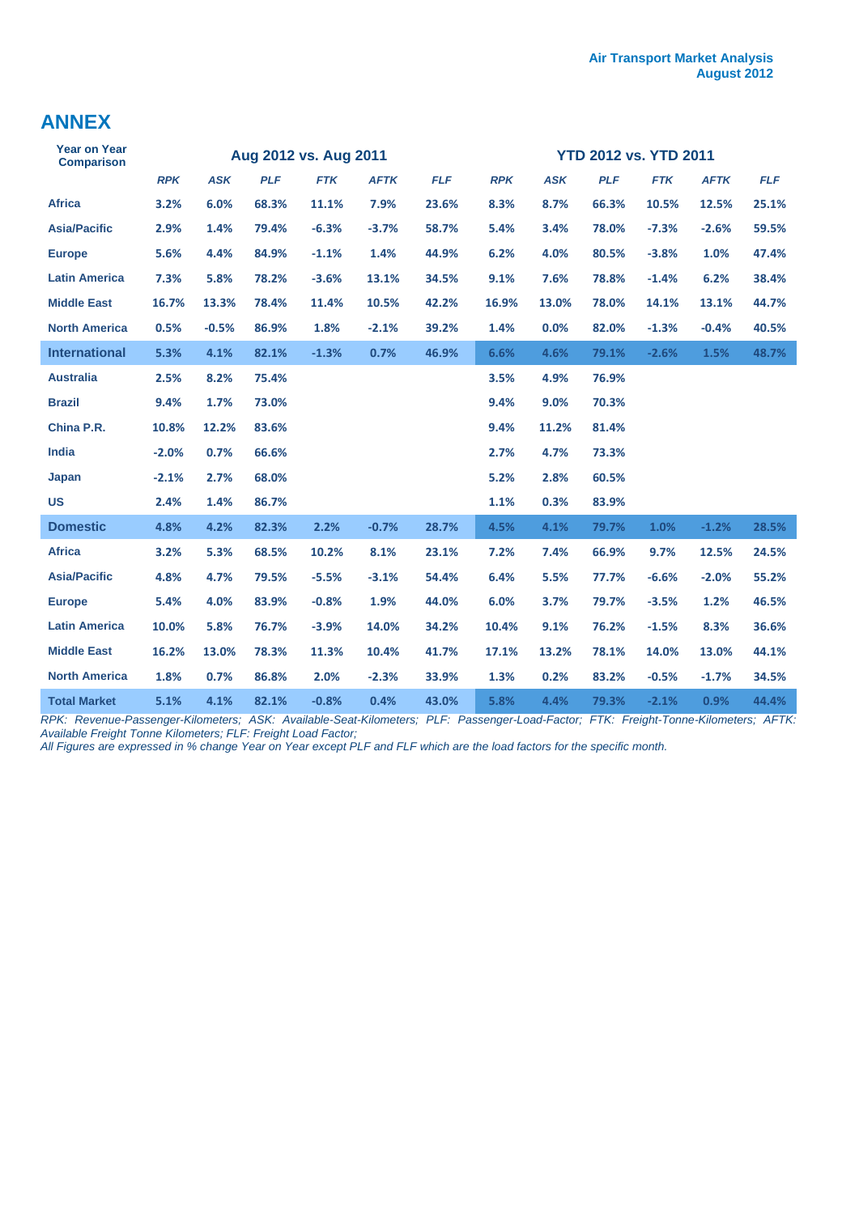## **ANNEX**

| <b>Year on Year</b><br><b>Comparison</b> | Aug 2012 vs. Aug 2011 |            |            |            |             | <b>YTD 2012 vs. YTD 2011</b> |            |            |            |            |             |            |
|------------------------------------------|-----------------------|------------|------------|------------|-------------|------------------------------|------------|------------|------------|------------|-------------|------------|
|                                          | <b>RPK</b>            | <b>ASK</b> | <b>PLF</b> | <b>FTK</b> | <b>AFTK</b> | <b>FLF</b>                   | <b>RPK</b> | <b>ASK</b> | <b>PLF</b> | <b>FTK</b> | <b>AFTK</b> | <b>FLF</b> |
| <b>Africa</b>                            | 3.2%                  | 6.0%       | 68.3%      | 11.1%      | 7.9%        | 23.6%                        | 8.3%       | 8.7%       | 66.3%      | 10.5%      | 12.5%       | 25.1%      |
| <b>Asia/Pacific</b>                      | 2.9%                  | 1.4%       | 79.4%      | $-6.3%$    | $-3.7%$     | 58.7%                        | 5.4%       | 3.4%       | 78.0%      | $-7.3%$    | $-2.6%$     | 59.5%      |
| <b>Europe</b>                            | 5.6%                  | 4.4%       | 84.9%      | $-1.1%$    | 1.4%        | 44.9%                        | 6.2%       | 4.0%       | 80.5%      | $-3.8%$    | 1.0%        | 47.4%      |
| <b>Latin America</b>                     | 7.3%                  | 5.8%       | 78.2%      | $-3.6%$    | 13.1%       | 34.5%                        | 9.1%       | 7.6%       | 78.8%      | $-1.4%$    | 6.2%        | 38.4%      |
| <b>Middle East</b>                       | 16.7%                 | 13.3%      | 78.4%      | 11.4%      | 10.5%       | 42.2%                        | 16.9%      | 13.0%      | 78.0%      | 14.1%      | 13.1%       | 44.7%      |
| <b>North America</b>                     | 0.5%                  | $-0.5%$    | 86.9%      | 1.8%       | $-2.1%$     | 39.2%                        | 1.4%       | 0.0%       | 82.0%      | $-1.3%$    | $-0.4%$     | 40.5%      |
| <b>International</b>                     | 5.3%                  | 4.1%       | 82.1%      | $-1.3%$    | 0.7%        | 46.9%                        | 6.6%       | 4.6%       | 79.1%      | $-2.6%$    | 1.5%        | 48.7%      |
| <b>Australia</b>                         | 2.5%                  | 8.2%       | 75.4%      |            |             |                              | 3.5%       | 4.9%       | 76.9%      |            |             |            |
| <b>Brazil</b>                            | 9.4%                  | 1.7%       | 73.0%      |            |             |                              | 9.4%       | 9.0%       | 70.3%      |            |             |            |
| China P.R.                               | 10.8%                 | 12.2%      | 83.6%      |            |             |                              | 9.4%       | 11.2%      | 81.4%      |            |             |            |
| <b>India</b>                             | $-2.0%$               | 0.7%       | 66.6%      |            |             |                              | 2.7%       | 4.7%       | 73.3%      |            |             |            |
| Japan                                    | $-2.1%$               | 2.7%       | 68.0%      |            |             |                              | 5.2%       | 2.8%       | 60.5%      |            |             |            |
| <b>US</b>                                | 2.4%                  | 1.4%       | 86.7%      |            |             |                              | 1.1%       | 0.3%       | 83.9%      |            |             |            |
| <b>Domestic</b>                          | 4.8%                  | 4.2%       | 82.3%      | 2.2%       | $-0.7%$     | 28.7%                        | 4.5%       | 4.1%       | 79.7%      | 1.0%       | $-1.2%$     | 28.5%      |
| <b>Africa</b>                            | 3.2%                  | 5.3%       | 68.5%      | 10.2%      | 8.1%        | 23.1%                        | 7.2%       | 7.4%       | 66.9%      | 9.7%       | 12.5%       | 24.5%      |
| <b>Asia/Pacific</b>                      | 4.8%                  | 4.7%       | 79.5%      | $-5.5%$    | $-3.1%$     | 54.4%                        | 6.4%       | 5.5%       | 77.7%      | $-6.6%$    | $-2.0%$     | 55.2%      |
| <b>Europe</b>                            | 5.4%                  | 4.0%       | 83.9%      | $-0.8%$    | 1.9%        | 44.0%                        | 6.0%       | 3.7%       | 79.7%      | $-3.5%$    | 1.2%        | 46.5%      |
| <b>Latin America</b>                     | 10.0%                 | 5.8%       | 76.7%      | $-3.9%$    | 14.0%       | 34.2%                        | 10.4%      | 9.1%       | 76.2%      | $-1.5%$    | 8.3%        | 36.6%      |
| <b>Middle East</b>                       | 16.2%                 | 13.0%      | 78.3%      | 11.3%      | 10.4%       | 41.7%                        | 17.1%      | 13.2%      | 78.1%      | 14.0%      | 13.0%       | 44.1%      |
| <b>North America</b>                     | 1.8%                  | 0.7%       | 86.8%      | 2.0%       | $-2.3%$     | 33.9%                        | 1.3%       | 0.2%       | 83.2%      | $-0.5%$    | $-1.7%$     | 34.5%      |
| <b>Total Market</b>                      | 5.1%                  | 4.1%       | 82.1%      | $-0.8%$    | 0.4%        | 43.0%                        | 5.8%       | 4.4%       | 79.3%      | $-2.1%$    | 0.9%        | 44.4%      |

*RPK: Revenue-Passenger-Kilometers; ASK: Available-Seat-Kilometers; PLF: Passenger-Load-Factor; FTK: Freight-Tonne-Kilometers; AFTK: Available Freight Tonne Kilometers; FLF: Freight Load Factor;* 

*All Figures are expressed in % change Year on Year except PLF and FLF which are the load factors for the specific month.*